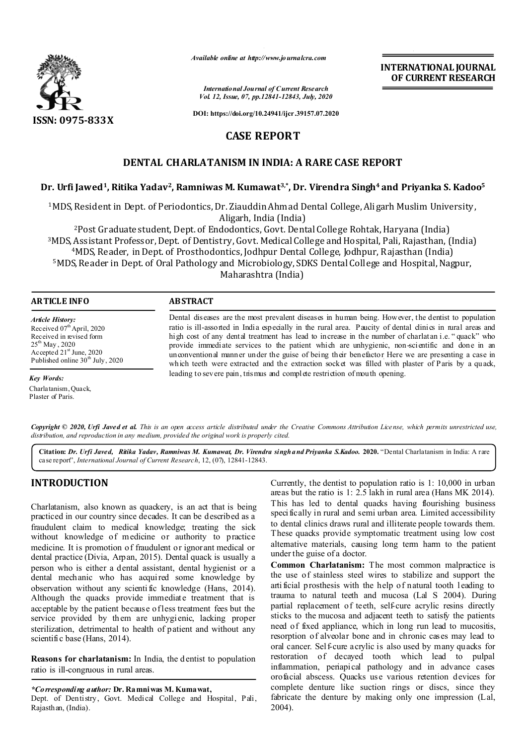

*Available online at http://www.journalcra.com*

*International Journal of Current Research Vol. 12, Issue, 07, pp.12841-12843, July, 2020* **INTERNATIONAL JOURNAL OF CURRENT RESEARCH**

**DOI: https://doi.org/10.24941/ijcr.39157.07.2020**

# **CASE REPORT**

## **DENTAL CHARLATANISM IN INDIA: A RARE CASE REPORT**

## **Dr. Urfi Jawed1, Ritika Yadav2, Ramniwas M. Kumawat3,\*, Dr. Virendra Singh4 and Priyanka S. Kadoo5**

1MDS, Resident in Dept. of Periodontics, Dr. Ziauddin Ahmad Dental College, Aligarh Muslim University, Aligarh, India (India)

2Post Graduate student, Dept. of Endodontics, Govt. Dental College Rohtak, Haryana (India) 3MDS, Assistant Professor, Dept. of Dentistry, Govt. Medical College and Hospital, Pali, Rajasthan, (India) 4MDS, Reader, in Dept. of Prosthodontics, Jodhpur Dental College, Jodhpur, Rajasthan (India) 5MDS, Reader in Dept. of Oral Pathology and Microbiology, SDKS Dental College and Hospital, Nagpur, Maharashtra (India)

### **ARTICLE INFO ABSTRACT**

*Article History:* Received 07<sup>th</sup> April, 2020 Received in revised form 25<sup>th</sup> May, 2020 Accepted 21<sup>st</sup> June, 2020 Published online  $30<sup>th</sup>$  July, 2020

*Key Words:* Charlatanism, Quack, Plaster of Paris.

Dental diseases are the most prevalent diseases in human being. However, the dentist to population ratio is ill-assorted in India especially in the rural area. Paucity of dental clinics in rural areas and high cost of any dental treatment has lead to increase in the number of charlatan i.e. "quack" who provide immediate services to the patient which are unhygienic, non-scientific and done in an unconventional manner under the guise of being their benefactor. Here we are presenting a case in which teeth were extracted and the extraction socket was filled with plaster of Paris by a quack, leading to severe pain, trismus and complete restriction of mouth opening.

Copyright © 2020, Urfi Javed et al. This is an open access article distributed under the Creative Commons Attribution License, which permits unrestricted use, *distribution, and reproduction in any medium, provided the original work is properly cited.*

**Citation:** *Dr. Urfi Javed, Ritika Yadav, Ramniwas M. Kumawat, Dr. Virendra singhand Priyanka S.Kadoo.* **2020.** "Dental Charlatanism in India: A rare case report", *International Journal of Current Research*, 12, (07), 12841-12843.

## **INTRODUCTION**

Charlatanism, also known as quackery, is an act that is being practiced in our country since decades. It can be described as a fraudulent claim to medical knowledge; treating the sick without knowledge of medicine or authority to practice medicine. It is promotion of fraudulent or ignorant medical or dental practice (Divia, Arpan, 2015). Dental quack is usually a person who is either a dental assistant, dental hygienist or a dental mechanic who has acquired some knowledge by observation without any scienti fic knowledge (Hans, 2014). Although the quacks provide immediate treatment that is acceptable by the patient because of less treatment fees but the service provided by them are unhygienic, lacking proper sterilization, detrimental to health of patient and without any scientific base (Hans, 2014).

**Reasons for charlatanism:** In India, the d entist to population ratio is ill-congruous in rural areas.

*\*Corresponding author:* **Dr. Ramniwas M. Kumawat,**

Dept. of Dentistry, Govt. Medical College and Hospital, Pali, Rajasthan, (India).

Currently, the dentist to population ratio is 1: 10,000 in urban areas but the ratio is 1: 2.5 lakh in rural area (Hans MK 2014). This has led to dental quacks having flourishing business specifically in rural and semi urban area. Limited accessibility to dental clinics draws rural and illiterate people towards them. These quacks provide symptomatic treatment using low cost alternative materials, causing long term harm to the patient under the guise of a doctor.

**Common Charlatanism:** The most common malpractice is the use of stainless steel wires to stabilize and support the arti ficial prosthesis with the help of natural tooth leading to trauma to natural teeth and mucosa (Lal S 2004). During partial replacement of teeth, self-cure acrylic resins directly sticks to the mucosa and adjacent teeth to satisfy the patients need of fixed appliance, which in long run lead to mucositis, resorption of alveolar bone and in chronic cases may lead to oral cancer. Self-cure acrylic is also used by many quacks for restoration of decayed tooth which lead to pulpal inflammation, periapical pathology and in advance cases orofacial abscess. Quacks use various retention devices for complete denture like suction rings or discs, since they fabricate the denture by making only one impression (Lal, 2004).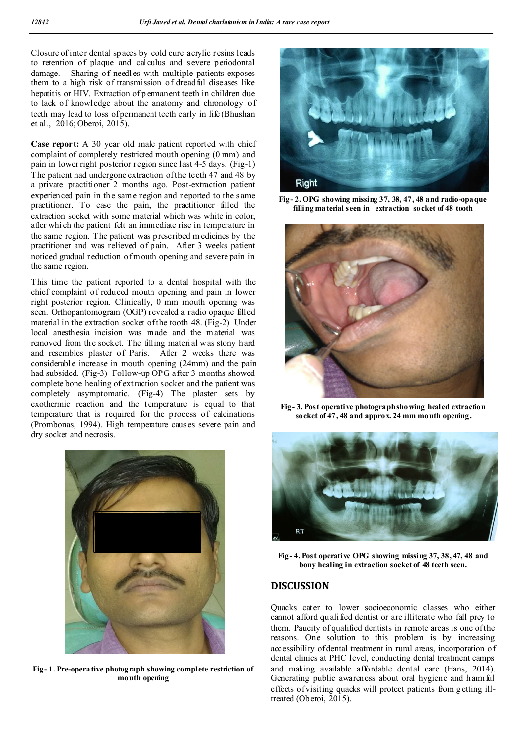Closure of inter dental spaces by cold cure acrylic resins leads to retention of plaque and calculus and severe periodontal damage. Sharing of needles with multiple patients exposes them to a high risk of transmission of dreadful diseases like hepatitis or HIV. Extraction of p ermanent teeth in children due to lack of knowledge about the anatomy and chronology of teeth may lead to loss of permanent teeth early in life (Bhushan et al., 2016; Oberoi, 2015).

**Case report:** A 30 year old male patient reported with chief complaint of completely restricted mouth opening (0 mm) and pain in lower right posterior region since last 4-5 days. (Fig-1) The patient had undergone extraction of the teeth 47 and 48 by a private practitioner 2 months ago. Post-extraction patient experienced pain in the same region and reported to the same practitioner. To ease the pain, the practitioner filled the extraction socket with some material which was white in color, after whi ch the patient felt an immediate rise in temperature in the same region. The patient was prescribed m edicines by the practitioner and was relieved of pain. After 3 weeks patient noticed gradual reduction of mouth opening and severe pain in the same region.

This time the patient reported to a dental hospital with the chief complaint of reduced mouth opening and pain in lower right posterior region. Clinically, 0 mm mouth opening was seen. Orthopantomogram (OGP) revealed a radio opaque filled material in the extraction socket of the tooth 48. (Fig-2) Under local anesth esia incision was made and the material was removed from the socket. The filling material was stony hard and resembles plaster of Paris. After 2 weeks there was considerable increase in mouth opening (24mm) and the pain had subsided. (Fig-3) Follow-up OPG after 3 months showed complete bone healing of ext raction socket and the patient was completely asymptomatic. (Fig-4) The plaster sets by exothermic reaction and the temperature is equal to that temperature that is required for the process of calcinations (Prombonas, 1994). High temperature causes severe pain and dry socket and necrosis.



**Fig- 1. Pre-operative photograph showing complete restriction of mouth opening**



**Fig- 2. OPG showing missing 37, 38, 47, 48 and radio-opaque filling material seen in extraction socket of 48 tooth**



**Fig- 3. Post operative photograph showing healed extraction socket of 47, 48 and approx. 24 mm mouth opening.**



**Fig- 4. Post operative OPG showing missing 37, 38, 47, 48 and bony healing in extraction socket of 48 teeth seen.**

### **DISCUSSION**

Quacks cater to lower socioeconomic classes who either cannot afford qualified dentist or are illiterate who fall prey to them. Paucity of qualified dentists in remote areas is one of the reasons. One solution to this problem is by increasing accessibility of dental treatment in rural areas, incorporation of dental clinics at PHC level, conducting dental treatment camps and making available affordable dental care (Hans, 2014). Generating public awareness about oral hygiene and harmful effects of visiting quacks will protect patients from g etting illtreated (Oberoi, 2015).